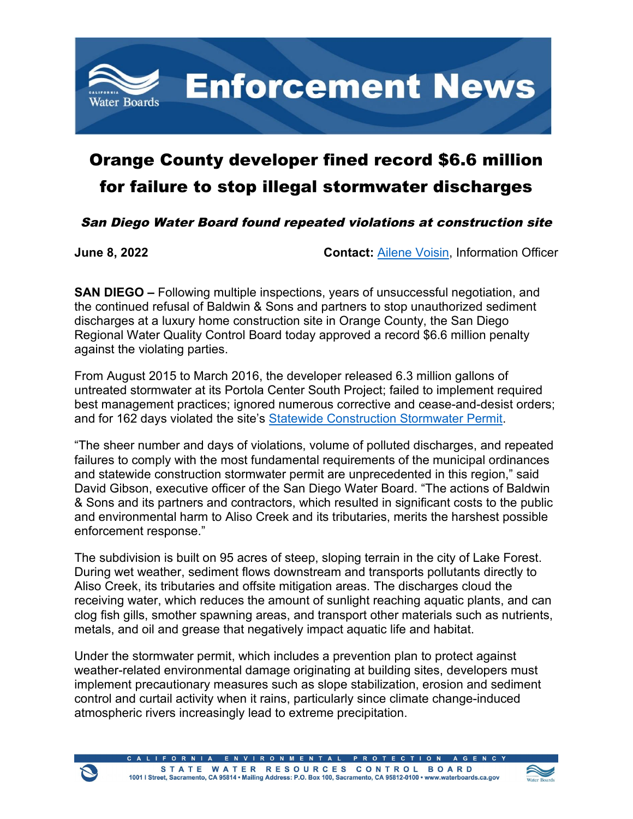

## Orange County developer fined record \$6.6 million for failure to stop illegal stormwater discharges

San Diego Water Board found repeated violations at construction site

**June 8, 2022 Contact:** [Ailene Voisin,](mailto:ailene.voisin@waterboards.ca.gov) Information Officer

**SAN DIEGO –** Following multiple inspections, years of unsuccessful negotiation, and the continued refusal of Baldwin & Sons and partners to stop unauthorized sediment discharges at a luxury home construction site in Orange County, the San Diego Regional Water Quality Control Board today approved a record \$6.6 million penalty against the violating parties.

From August 2015 to March 2016, the developer released 6.3 million gallons of untreated stormwater at its Portola Center South Project; failed to implement required best management practices; ignored numerous corrective and cease-and-desist orders; and for 162 days violated the site's [Statewide Construction Stormwater Permit](https://www.waterboards.ca.gov/water_issues/programs/stormwater/construction.html).

"The sheer number and days of violations, volume of polluted discharges, and repeated failures to comply with the most fundamental requirements of the municipal ordinances and statewide construction stormwater permit are unprecedented in this region," said David Gibson, executive officer of the San Diego Water Board. "The actions of Baldwin & Sons and its partners and contractors, which resulted in significant costs to the public and environmental harm to Aliso Creek and its tributaries, merits the harshest possible enforcement response."

The subdivision is built on 95 acres of steep, sloping terrain in the city of Lake Forest. During wet weather, sediment flows downstream and transports pollutants directly to Aliso Creek, its tributaries and offsite mitigation areas. The discharges cloud the receiving water, which reduces the amount of sunlight reaching aquatic plants, and can clog fish gills, smother spawning areas, and transport other materials such as nutrients, metals, and oil and grease that negatively impact aquatic life and habitat.

Under the stormwater permit, which includes a prevention plan to protect against weather-related environmental damage originating at building sites, developers must implement precautionary measures such as slope stabilization, erosion and sediment control and curtail activity when it rains, particularly since climate change-induced atmospheric rivers increasingly lead to extreme precipitation.